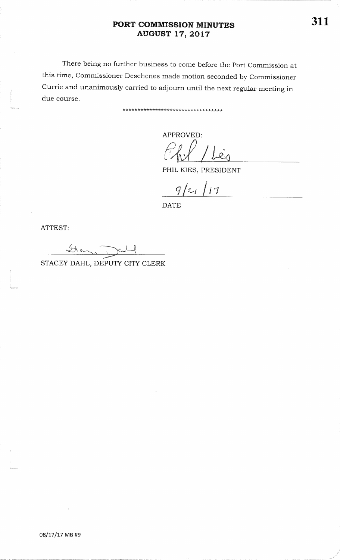# PORT COMMISSION MINUTES **AUGUST 17, 2017**

There being no further business to come before the Port Commission at this time, Commissioner Deschenes made motion seconded by Commissioner Currie and unanimously carried to adjourn until the next regular meeting in due course.

\*\*\*\*\*\*\*\*\*\*\*\*\*\*\*\*\*\*\*\*\*\*\*\*\*\*\*\*\*\*\*\*\*\*

APPROVED:

PHIL KIES, PRESIDENT

 $9/21/17$ 

**DATE** 

ATTEST:

Glas

STACEY DAHL, DEPUTY CITY CLERK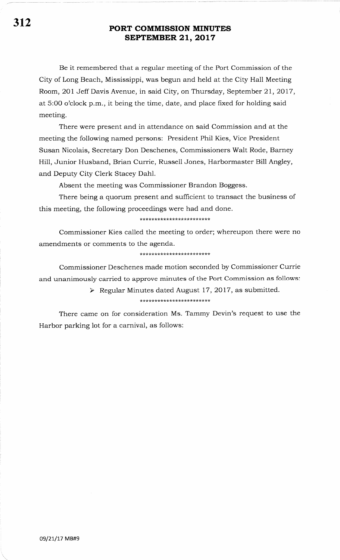Be it remembered that a regular meeting of the Port Commission of the City of Long Beach, Mississippi, was begun and held at the City Hall Meeting Room, 2Ol Jeff Davis Avenue, in said City, on Thursday, September 2I,2OI7, at 5:00 o'clock p.m., it being the time, date, and place fixed for holding said meeting.

There were present and in attendance on said Commission and at the meeting the following named persons: President Phil Kies, Vice President Susan Nicolais, Secretary Don Deschenes, Commissioners Walt Rode, Barney Hill, Junior Husband, Brian Currie, Russell Jones, Harbormaster Bill Angley, and Deputy City Clerk Stacey Dahl.

Absent the meeting was Commissioner Brandon Boggess.

There being a quorum present and sufficient to transact the business of this meeting, the following proceedings were had and done.

### \*\*\*\*\*\*\*\*\*\*\*\*\*\*\*\*\*\*\*\*\*\*\*\*

Commissioner Kies called the meeting to order; whereupon there were no amendments or comments to the agenda.

### \*\* \* tr t(:t\*\*\*\*\*\*\*\*\* \*\*\*\*\*\*\*

Commissioner Deschenes made motion seconded by Commissioner Currie and unanimously carried to approve minutes of the Port Commission as follows:

# > Regular Minutes dated August 17, 2017, as submitted.

## \* \*\*\*\*\*\*\*\*\*\*\*\*r(\*\*\*\*\*\*tr\* \*\*

There came on for consideration Ms. Tammy Devin's request to use the Harbor parking lot for a carnival, as follows: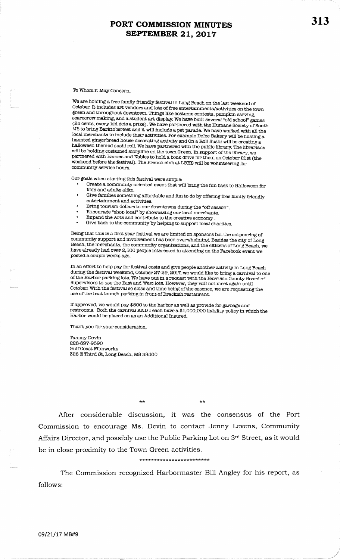To Whom it May Concern.

We are holding a free family friendly festival in Long Beach on the last weekend of October. It includes art vendors and lots of free entertainments/activities on the town green and throughout downtown. Things like costume contests, pumpkin carving, scarecrow making, and a student art display. We have built several "old school" games (25 cents, every kid gets a prize). We have partnered with the Humane Society of South MS to bring Barktoberfest and it will include a pet parade. We have worked with all the local merchants to include their activities. For example Dolce Bakery will be hosting a haunted gingerbread house decorating activity and On a Roll Sushi will be creating a halloween themed sushi roll. We have partnered with the public library. The librarians will be holding costumed storyline on the town Green. In support of the library, we partnered with Barnes and Nobles to hold a book drive for them on October 21st (the weekend before the festival). The French club at LBHS will be volunteering for community service hours.

Our goals when starting this festival were simple:

- Create a community oriented event that will bring the fun back to Halloween for kids and adults alike
- Give families something affordable and fun to do by offering free family friendly entertainment and activities.
- Bring tourism dollars to our downtowns during the "off season".
- Encourage "shop local" by showcasing our local merchants.
- Expand the Arts and contribute to the creative economy . Give back to the community by helping to support local charities.

Being that this is a first year festival we are limited on sponsors but the outpouring of community support and involvement has been overwhelming. Besides the city of Long Beach, the merchants, the community organizations, and the citizens of Long Beach, we have already had over 2,500 people interested in attending on the Facebook event we posted a couple weeks ago.

In an effort to help pay for festival costs and give people another activity in Long Beach during the festival weekend, October 27-29, 2017, we would like to bring a carnival to one of the Harbor parking lots. We have put in a request with the Harrison County Board of Supervisors to use the East and West lots. However, they will not meet again until October. With the festival so close and time being of the essence, we are requesting the use of the boat launch parking in front of Brackish restaurant.

If approved, we would pay \$500 to the harbor as well as provide for garbage and restrooms. Both the carnival AND I each have a \$1,000,000 liability policy in which the Harbor would be placed on as an Additional Insured.

Thank you for your consideration,

Tammy Devin 228-697-9590 **Gulf Coast Filmworks** 326 E Third St, Long Beach, MS 39560

 $\star\star$ 

After considerable discussion, it was the consensus of the Port Commission to encourage Ms. Devin to contact Jenny Levens, Community Affairs Director, and possibly use the Public Parking Lot on 3rd Street, as it would be in close proximity to the Town Green activities.

#### \*\*\*\*\*\*\*\*\*\*\*\*\*\*\*\*\*\*\*\*\*\*\*\*

The Commission recognized Harbormaster Bill Angley for his report, as follows: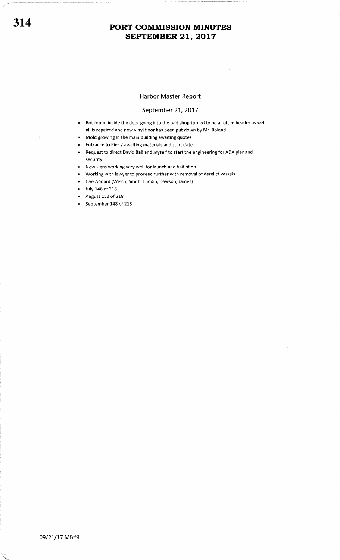## Harbor Master Report

## September 21, 2017

- Rot found inside the door going into the bait shop turned to be a rotten header as well all is repaired and new vinyl floor has been put down by Mr. Roland
- Mold growing in the main building awaiting quotes
- Entrance to Pier 2 awaiting materials and start date
- . Request to direct David Ball and myself to start the engineering for ADA pier and security
- New signs working very well for launch and bait shop
- o Working with lawyer to proceed further with removal of derelict vessels.
- o Live Aboard (Welch, Smith, Lundin, Dawson, James)
- . July 146 of 218
- August 152 of 218
- September 148 of 218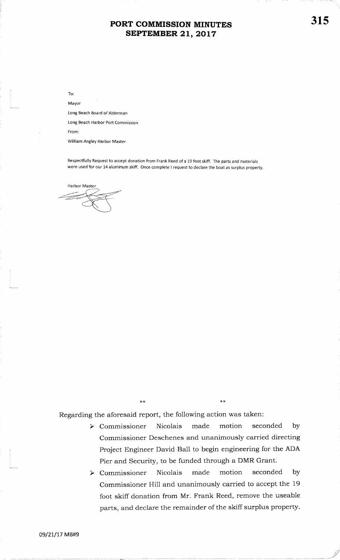To:

Mayor

Long Beach Board of Alderman

Long Beach Harbor Port Commission

From:

William Angley Harbor Master

Respectfully Request to accept donation from Frank Reed of a 19 foot skiff. The parts and materials were used for our 14 aluminum skiff. Once complete I request to declare the boat as surplus property

Harbor Master

\*\*

 $*$ 

Regarding the aforesaid report, the following action was taken:

- $\triangleright$  Commissioner Nicolais made motion seconded by Commissioner Deschenes and unanimously carried directingProject Engineer David Ball to begin engineering for the ADAPier and Security, to be funded through a DMR Grant.
- made motion seconded  $\triangleright$  Commissioner Nicolais by Commissioner Hill and unanimously carried to accept the 19foot skiff donation from Mr. Frank Reed, remove the useableparts, and declare the remainder of the skiff surplus property.